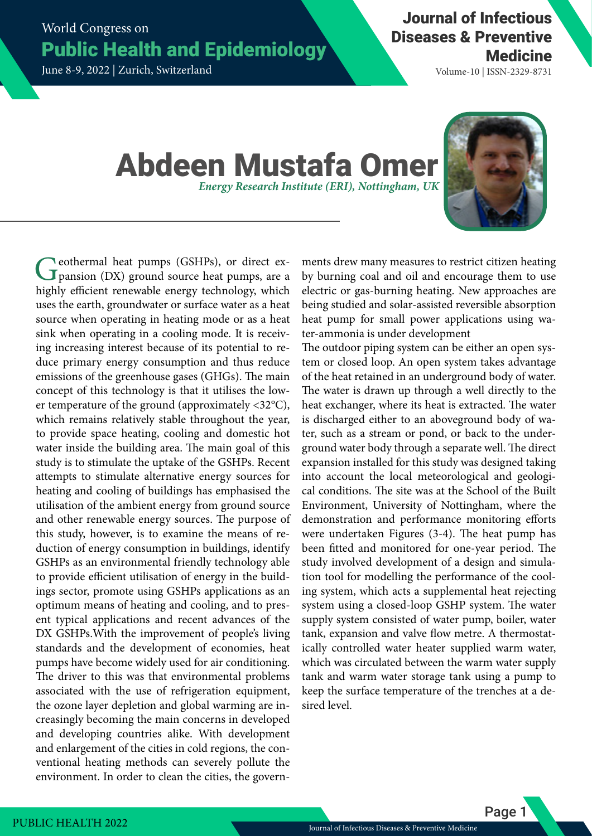World Congress on Public Health and Epidemiology

June 8-9, 2022 | Zurich, Switzerland

Volume-10 | ISSN-2329-8731

## Abdeen Mustafa Omer *Energy Research Institute (ERI), Nottingham, UK*



Geothermal heat pumps (GSHPs), or direct expansion (DX) ground source heat pumps, are a highly efficient renewable energy technology, which uses the earth, groundwater or surface water as a heat source when operating in heating mode or as a heat sink when operating in a cooling mode. It is receiving increasing interest because of its potential to reduce primary energy consumption and thus reduce emissions of the greenhouse gases (GHGs). The main concept of this technology is that it utilises the lower temperature of the ground (approximately <32°C), which remains relatively stable throughout the year, to provide space heating, cooling and domestic hot water inside the building area. The main goal of this study is to stimulate the uptake of the GSHPs. Recent attempts to stimulate alternative energy sources for heating and cooling of buildings has emphasised the utilisation of the ambient energy from ground source and other renewable energy sources. The purpose of this study, however, is to examine the means of reduction of energy consumption in buildings, identify GSHPs as an environmental friendly technology able to provide efficient utilisation of energy in the buildings sector, promote using GSHPs applications as an optimum means of heating and cooling, and to present typical applications and recent advances of the DX GSHPs.With the improvement of people's living standards and the development of economies, heat pumps have become widely used for air conditioning. The driver to this was that environmental problems associated with the use of refrigeration equipment, the ozone layer depletion and global warming are increasingly becoming the main concerns in developed and developing countries alike. With development and enlargement of the cities in cold regions, the conventional heating methods can severely pollute the environment. In order to clean the cities, the govern-

ments drew many measures to restrict citizen heating by burning coal and oil and encourage them to use electric or gas-burning heating. New approaches are being studied and solar-assisted reversible absorption heat pump for small power applications using water-ammonia is under development

The outdoor piping system can be either an open system or closed loop. An open system takes advantage of the heat retained in an underground body of water. The water is drawn up through a well directly to the heat exchanger, where its heat is extracted. The water is discharged either to an aboveground body of water, such as a stream or pond, or back to the underground water body through a separate well. The direct expansion installed for this study was designed taking into account the local meteorological and geological conditions. The site was at the School of the Built Environment, University of Nottingham, where the demonstration and performance monitoring efforts were undertaken Figures (3-4). The heat pump has been fitted and monitored for one-year period. The study involved development of a design and simulation tool for modelling the performance of the cooling system, which acts a supplemental heat rejecting system using a closed-loop GSHP system. The water supply system consisted of water pump, boiler, water tank, expansion and valve flow metre. A thermostatically controlled water heater supplied warm water, which was circulated between the warm water supply tank and warm water storage tank using a pump to keep the surface temperature of the trenches at a desired level.

Page 1